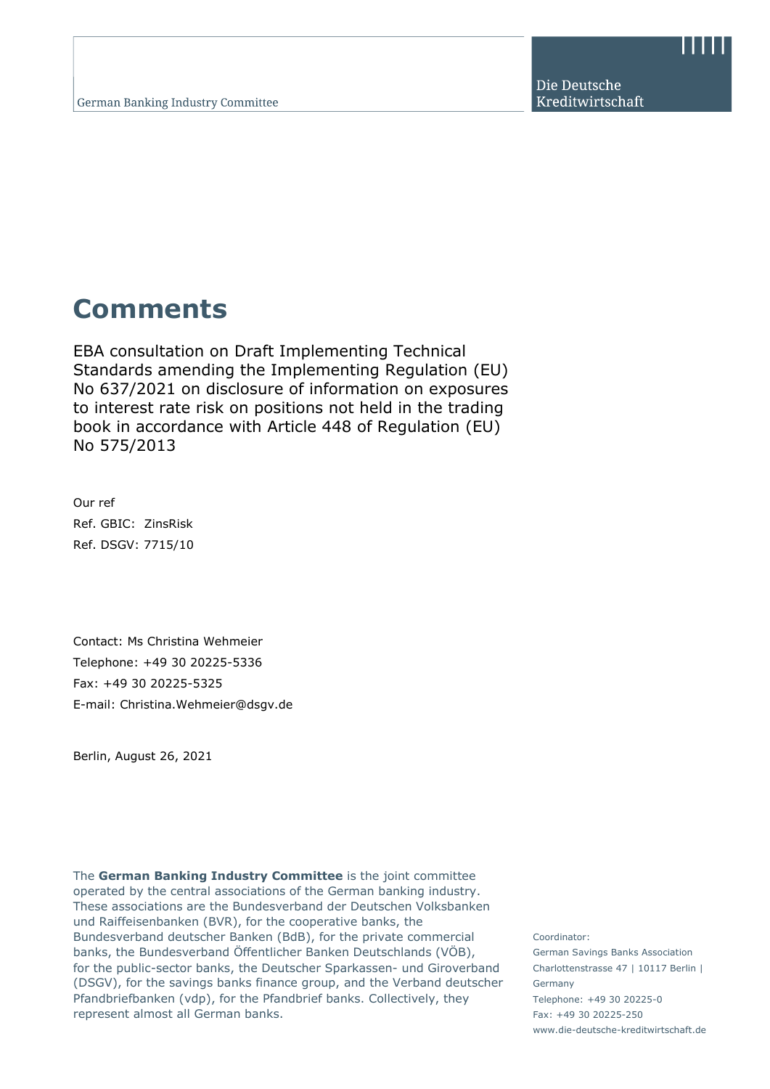Die Deutsche Kreditwirtschaft

# **Comments**

EBA consultation on Draft Implementing Technical Standards amending the Implementing Regulation (EU) No 637/2021 on disclosure of information on exposures to interest rate risk on positions not held in the trading book in accordance with Article 448 of Regulation (EU) No 575/2013

Our ref Ref. GBIC: ZinsRisk Ref. DSGV: 7715/10

Contact: Ms Christina Wehmeier Telephone: +49 30 20225-5336 Fax: +49 30 20225-5325 E-mail: Christina.Wehmeier@dsgv.de

Berlin, August 26, 2021

The **German Banking Industry Committee** is the joint committee operated by the central associations of the German banking industry. These associations are the Bundesverband der Deutschen Volksbanken und Raiffeisenbanken (BVR), for the cooperative banks, the Bundesverband deutscher Banken (BdB), for the private commercial banks, the Bundesverband Öffentlicher Banken Deutschlands (VÖB), for the public-sector banks, the Deutscher Sparkassen- und Giroverband (DSGV), for the savings banks finance group, and the Verband deutscher Pfandbriefbanken (vdp), for the Pfandbrief banks. Collectively, they represent almost all German banks.

Coordinator: German Savings Banks Association Charlottenstrasse 47 | 10117 Berlin | Germany Telephone: +49 30 20225-0 Fax: +49 30 20225-250 www.die-deutsche-kreditwirtschaft.de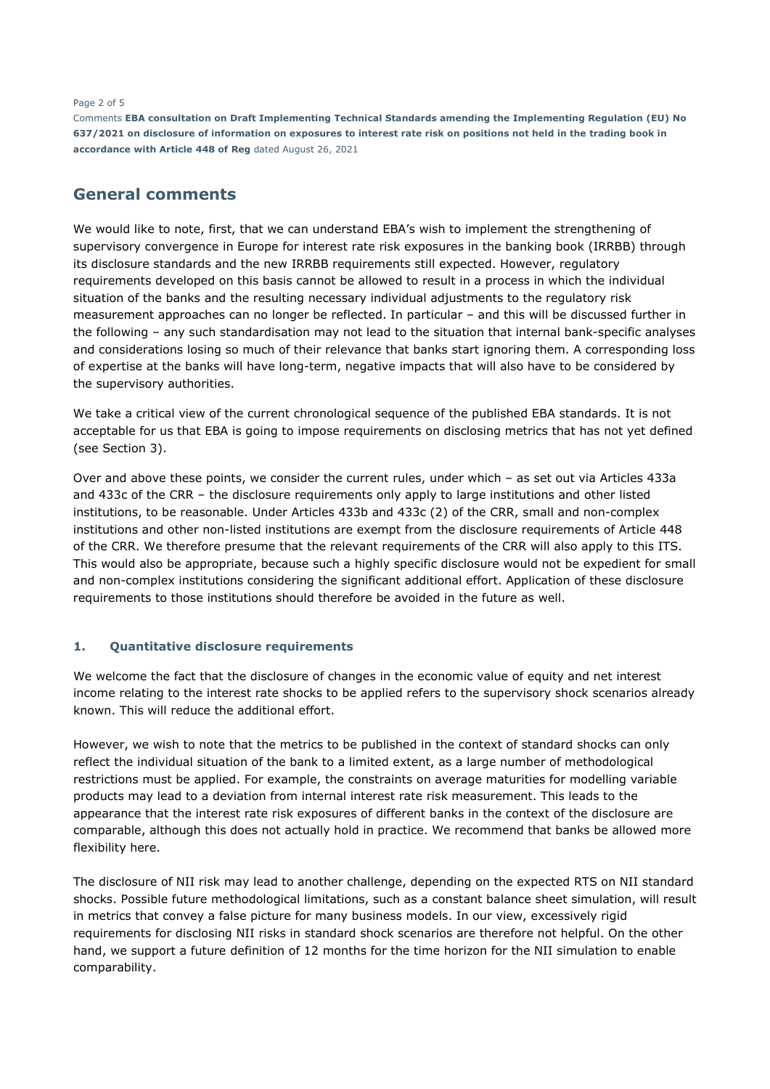#### Page 2 of 5

Comments **EBA consultation on Draft Implementing Technical Standards amending the Implementing Regulation (EU) No 637/2021 on disclosure of information on exposures to interest rate risk on positions not held in the trading book in accordance with Article 448 of Reg** dated August 26, 2021

# **General comments**

We would like to note, first, that we can understand EBA's wish to implement the strengthening of supervisory convergence in Europe for interest rate risk exposures in the banking book (IRRBB) through its disclosure standards and the new IRRBB requirements still expected. However, regulatory requirements developed on this basis cannot be allowed to result in a process in which the individual situation of the banks and the resulting necessary individual adjustments to the regulatory risk measurement approaches can no longer be reflected. In particular – and this will be discussed further in the following – any such standardisation may not lead to the situation that internal bank-specific analyses and considerations losing so much of their relevance that banks start ignoring them. A corresponding loss of expertise at the banks will have long-term, negative impacts that will also have to be considered by the supervisory authorities.

We take a critical view of the current chronological sequence of the published EBA standards. It is not acceptable for us that EBA is going to impose requirements on disclosing metrics that has not yet defined (see Section 3).

Over and above these points, we consider the current rules, under which – as set out via Articles 433a and 433c of the CRR – the disclosure requirements only apply to large institutions and other listed institutions, to be reasonable. Under Articles 433b and 433c (2) of the CRR, small and non-complex institutions and other non-listed institutions are exempt from the disclosure requirements of Article 448 of the CRR. We therefore presume that the relevant requirements of the CRR will also apply to this ITS. This would also be appropriate, because such a highly specific disclosure would not be expedient for small and non-complex institutions considering the significant additional effort. Application of these disclosure requirements to those institutions should therefore be avoided in the future as well.

## **1. Quantitative disclosure requirements**

We welcome the fact that the disclosure of changes in the economic value of equity and net interest income relating to the interest rate shocks to be applied refers to the supervisory shock scenarios already known. This will reduce the additional effort.

However, we wish to note that the metrics to be published in the context of standard shocks can only reflect the individual situation of the bank to a limited extent, as a large number of methodological restrictions must be applied. For example, the constraints on average maturities for modelling variable products may lead to a deviation from internal interest rate risk measurement. This leads to the appearance that the interest rate risk exposures of different banks in the context of the disclosure are comparable, although this does not actually hold in practice. We recommend that banks be allowed more flexibility here.

The disclosure of NII risk may lead to another challenge, depending on the expected RTS on NII standard shocks. Possible future methodological limitations, such as a constant balance sheet simulation, will result in metrics that convey a false picture for many business models. In our view, excessively rigid requirements for disclosing NII risks in standard shock scenarios are therefore not helpful. On the other hand, we support a future definition of 12 months for the time horizon for the NII simulation to enable comparability.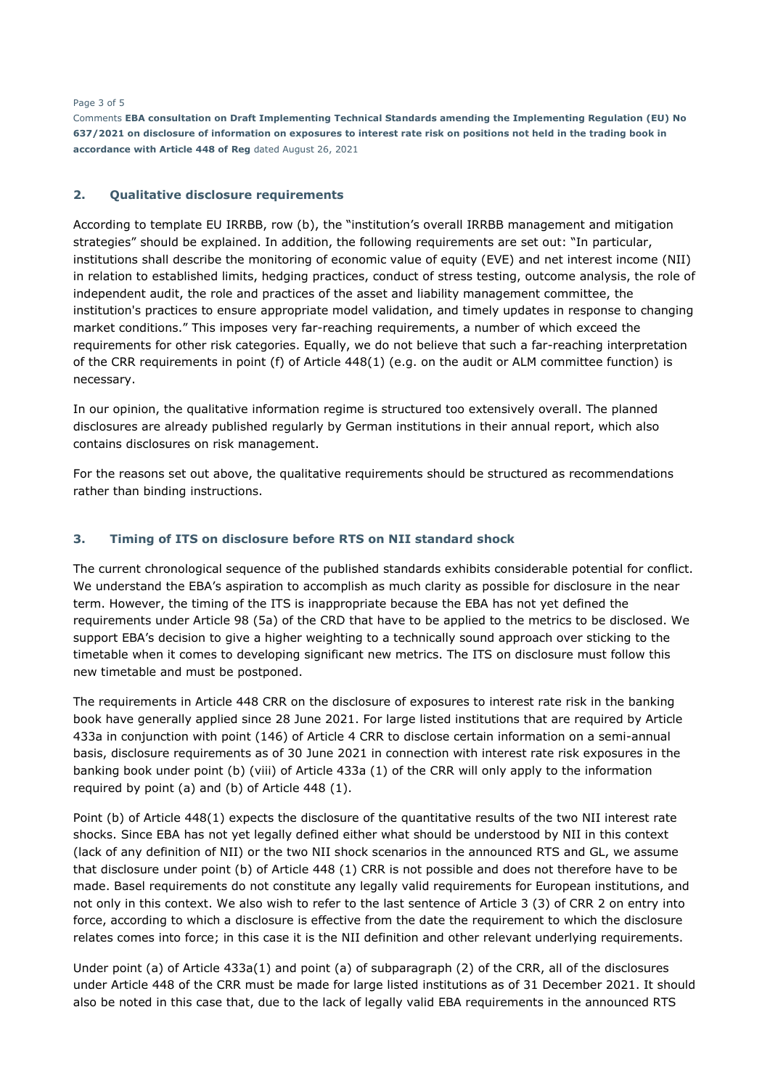#### Page 3 of 5

Comments **EBA consultation on Draft Implementing Technical Standards amending the Implementing Regulation (EU) No 637/2021 on disclosure of information on exposures to interest rate risk on positions not held in the trading book in accordance with Article 448 of Reg** dated August 26, 2021

### **2. Qualitative disclosure requirements**

According to template EU IRRBB, row (b), the "institution's overall IRRBB management and mitigation strategies" should be explained. In addition, the following requirements are set out: "In particular, institutions shall describe the monitoring of economic value of equity (EVE) and net interest income (NII) in relation to established limits, hedging practices, conduct of stress testing, outcome analysis, the role of independent audit, the role and practices of the asset and liability management committee, the institution's practices to ensure appropriate model validation, and timely updates in response to changing market conditions." This imposes very far-reaching requirements, a number of which exceed the requirements for other risk categories. Equally, we do not believe that such a far-reaching interpretation of the CRR requirements in point (f) of Article 448(1) (e.g. on the audit or ALM committee function) is necessary.

In our opinion, the qualitative information regime is structured too extensively overall. The planned disclosures are already published regularly by German institutions in their annual report, which also contains disclosures on risk management.

For the reasons set out above, the qualitative requirements should be structured as recommendations rather than binding instructions.

## **3. Timing of ITS on disclosure before RTS on NII standard shock**

The current chronological sequence of the published standards exhibits considerable potential for conflict. We understand the EBA's aspiration to accomplish as much clarity as possible for disclosure in the near term. However, the timing of the ITS is inappropriate because the EBA has not yet defined the requirements under Article 98 (5a) of the CRD that have to be applied to the metrics to be disclosed. We support EBA's decision to give a higher weighting to a technically sound approach over sticking to the timetable when it comes to developing significant new metrics. The ITS on disclosure must follow this new timetable and must be postponed.

The requirements in Article 448 CRR on the disclosure of exposures to interest rate risk in the banking book have generally applied since 28 June 2021. For large listed institutions that are required by Article 433a in conjunction with point (146) of Article 4 CRR to disclose certain information on a semi-annual basis, disclosure requirements as of 30 June 2021 in connection with interest rate risk exposures in the banking book under point (b) (viii) of Article 433a (1) of the CRR will only apply to the information required by point (a) and (b) of Article 448 (1).

Point (b) of Article 448(1) expects the disclosure of the quantitative results of the two NII interest rate shocks. Since EBA has not yet legally defined either what should be understood by NII in this context (lack of any definition of NII) or the two NII shock scenarios in the announced RTS and GL, we assume that disclosure under point (b) of Article 448 (1) CRR is not possible and does not therefore have to be made. Basel requirements do not constitute any legally valid requirements for European institutions, and not only in this context. We also wish to refer to the last sentence of Article 3 (3) of CRR 2 on entry into force, according to which a disclosure is effective from the date the requirement to which the disclosure relates comes into force; in this case it is the NII definition and other relevant underlying requirements.

Under point (a) of Article 433a(1) and point (a) of subparagraph (2) of the CRR, all of the disclosures under Article 448 of the CRR must be made for large listed institutions as of 31 December 2021. It should also be noted in this case that, due to the lack of legally valid EBA requirements in the announced RTS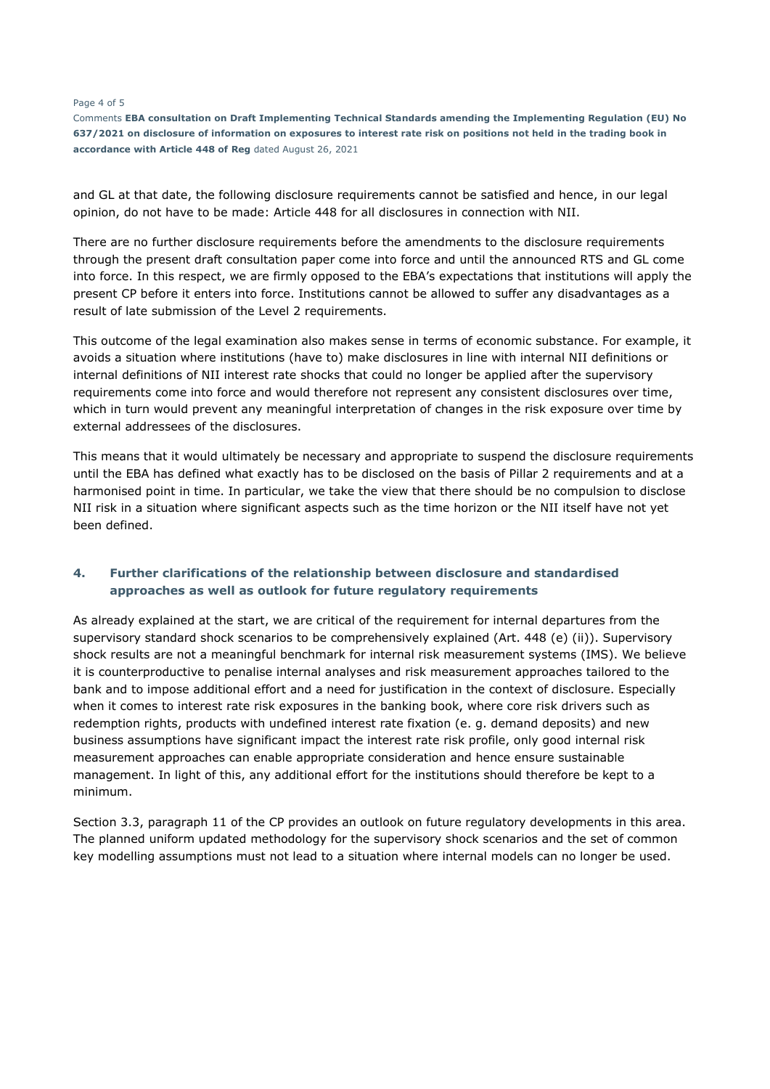#### Page 4 of 5

Comments **EBA consultation on Draft Implementing Technical Standards amending the Implementing Regulation (EU) No 637/2021 on disclosure of information on exposures to interest rate risk on positions not held in the trading book in accordance with Article 448 of Reg** dated August 26, 2021

and GL at that date, the following disclosure requirements cannot be satisfied and hence, in our legal opinion, do not have to be made: Article 448 for all disclosures in connection with NII.

There are no further disclosure requirements before the amendments to the disclosure requirements through the present draft consultation paper come into force and until the announced RTS and GL come into force. In this respect, we are firmly opposed to the EBA's expectations that institutions will apply the present CP before it enters into force. Institutions cannot be allowed to suffer any disadvantages as a result of late submission of the Level 2 requirements.

This outcome of the legal examination also makes sense in terms of economic substance. For example, it avoids a situation where institutions (have to) make disclosures in line with internal NII definitions or internal definitions of NII interest rate shocks that could no longer be applied after the supervisory requirements come into force and would therefore not represent any consistent disclosures over time, which in turn would prevent any meaningful interpretation of changes in the risk exposure over time by external addressees of the disclosures.

This means that it would ultimately be necessary and appropriate to suspend the disclosure requirements until the EBA has defined what exactly has to be disclosed on the basis of Pillar 2 requirements and at a harmonised point in time. In particular, we take the view that there should be no compulsion to disclose NII risk in a situation where significant aspects such as the time horizon or the NII itself have not yet been defined.

## **4. Further clarifications of the relationship between disclosure and standardised approaches as well as outlook for future regulatory requirements**

As already explained at the start, we are critical of the requirement for internal departures from the supervisory standard shock scenarios to be comprehensively explained (Art. 448 (e) (ii)). Supervisory shock results are not a meaningful benchmark for internal risk measurement systems (IMS). We believe it is counterproductive to penalise internal analyses and risk measurement approaches tailored to the bank and to impose additional effort and a need for justification in the context of disclosure. Especially when it comes to interest rate risk exposures in the banking book, where core risk drivers such as redemption rights, products with undefined interest rate fixation (e. g. demand deposits) and new business assumptions have significant impact the interest rate risk profile, only good internal risk measurement approaches can enable appropriate consideration and hence ensure sustainable management. In light of this, any additional effort for the institutions should therefore be kept to a minimum.

Section 3.3, paragraph 11 of the CP provides an outlook on future regulatory developments in this area. The planned uniform updated methodology for the supervisory shock scenarios and the set of common key modelling assumptions must not lead to a situation where internal models can no longer be used.